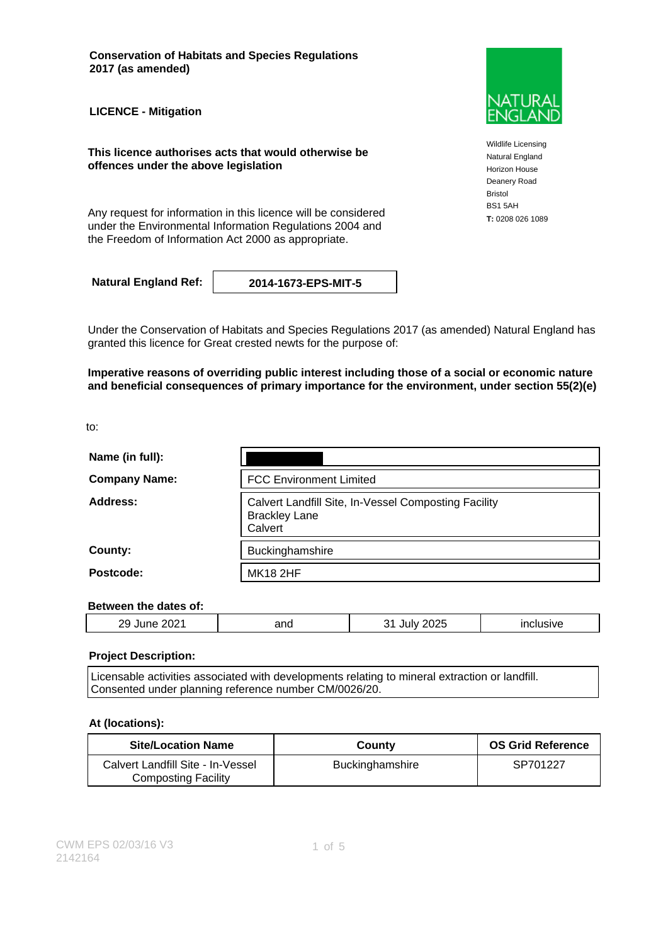**Conservation of Habitats and Species Regulations 2017 (as amended)**

**LICENCE - Mitigation**

**This licence authorises acts that would otherwise be offences under the above legislation**

Any request for information in this licence will be considered **T**: 0208 026 1089 under the Environmental Information Regulations 2004 and the Freedom of Information Act 2000 as appropriate.

**Natural England Ref: 2014-1673-EPS-MIT-5**

Under the Conservation of Habitats and Species Regulations 2017 (as amended) Natural England has granted this licence for Great crested newts for the purpose of:

**Imperative reasons of overriding public interest including those of a social or economic nature and beneficial consequences of primary importance for the environment, under section 55(2)(e)**

to:

| Name (in full):      |                                                                                         |  |
|----------------------|-----------------------------------------------------------------------------------------|--|
| <b>Company Name:</b> | <b>FCC Environment Limited</b>                                                          |  |
| Address:             | Calvert Landfill Site, In-Vessel Composting Facility<br><b>Brackley Lane</b><br>Calvert |  |
| County:              | Buckinghamshire                                                                         |  |
| Postcode:            | <b>MK18 2HF</b>                                                                         |  |

#### **Between the dates of:**

| $\sim$ $\sim$<br>oс<br>.,<br><u>_</u><br>________<br>____ | and | $\sim$ $-$<br>. . | _____ |
|-----------------------------------------------------------|-----|-------------------|-------|
|                                                           |     |                   |       |

#### **Project Description:**

Licensable activities associated with developments relating to mineral extraction or landfill. Consented under planning reference number CM/0026/20.

#### **At (locations):**

| <b>Site/Location Name</b>                                       | County                 | <b>OS Grid Reference</b> |
|-----------------------------------------------------------------|------------------------|--------------------------|
| Calvert Landfill Site - In-Vessel<br><b>Composting Facility</b> | <b>Buckinghamshire</b> | SP701227                 |



Wildlife Licensing Natural England Horizon House Deanery Road Bristol BS1 5AH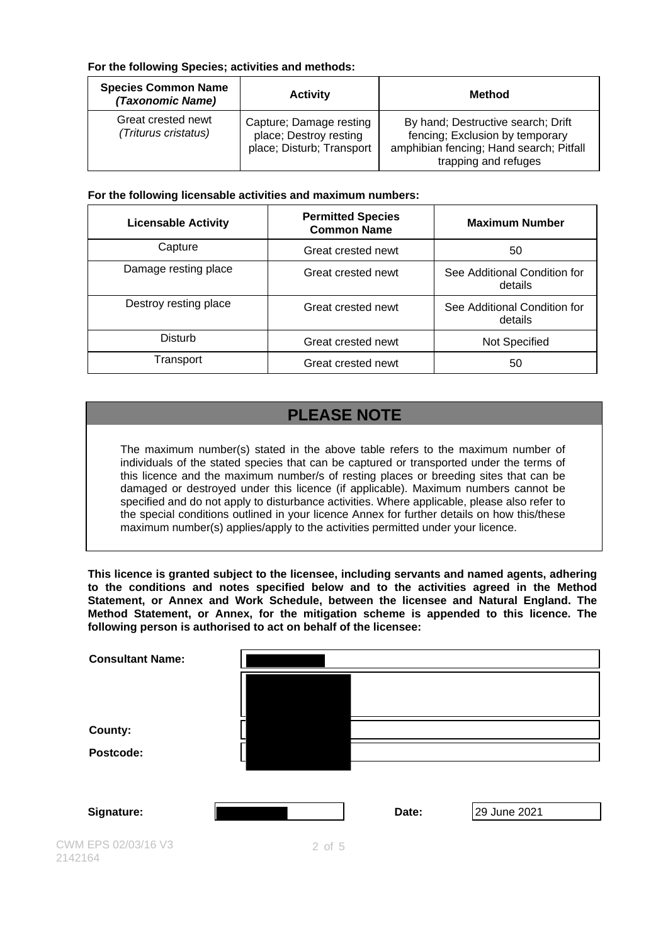### **For the following Species; activities and methods:**

| <b>Species Common Name</b><br>(Taxonomic Name) | <b>Activity</b>                                                                | Method                                                                                                                                   |
|------------------------------------------------|--------------------------------------------------------------------------------|------------------------------------------------------------------------------------------------------------------------------------------|
| Great crested newt<br>(Triturus cristatus)     | Capture; Damage resting<br>place; Destroy resting<br>place; Disturb; Transport | By hand; Destructive search; Drift<br>fencing; Exclusion by temporary<br>amphibian fencing; Hand search; Pitfall<br>trapping and refuges |

### **For the following licensable activities and maximum numbers:**

| <b>Licensable Activity</b> | <b>Permitted Species</b><br><b>Common Name</b> | <b>Maximum Number</b>                   |
|----------------------------|------------------------------------------------|-----------------------------------------|
| Capture                    | Great crested newt                             | 50                                      |
| Damage resting place       | Great crested newt                             | See Additional Condition for<br>details |
| Destroy resting place      | Great crested newt                             | See Additional Condition for<br>details |
| Disturb                    | Great crested newt                             | Not Specified                           |
| Transport                  | Great crested newt                             | 50                                      |

# **PLEASE NOTE**

The maximum number(s) stated in the above table refers to the maximum number of individuals of the stated species that can be captured or transported under the terms of this licence and the maximum number/s of resting places or breeding sites that can be damaged or destroyed under this licence (if applicable). Maximum numbers cannot be specified and do not apply to disturbance activities. Where applicable, please also refer to the special conditions outlined in your licence Annex for further details on how this/these maximum number(s) applies/apply to the activities permitted under your licence.

**This licence is granted subject to the licensee, including servants and named agents, adhering to the conditions and notes specified below and to the activities agreed in the Method Statement, or Annex and Work Schedule, between the licensee and Natural England. The Method Statement, or Annex, for the mitigation scheme is appended to this licence. The following person is authorised to act on behalf of the licensee:**

| <b>Consultant Name:</b>        |            |       |              |
|--------------------------------|------------|-------|--------------|
|                                |            |       |              |
| County:                        |            |       |              |
| Postcode:                      |            |       |              |
|                                |            |       |              |
| Signature:                     |            | Date: | 29 June 2021 |
| CWM EPS 02/03/16 V3<br>2142164 | $2$ of $5$ |       |              |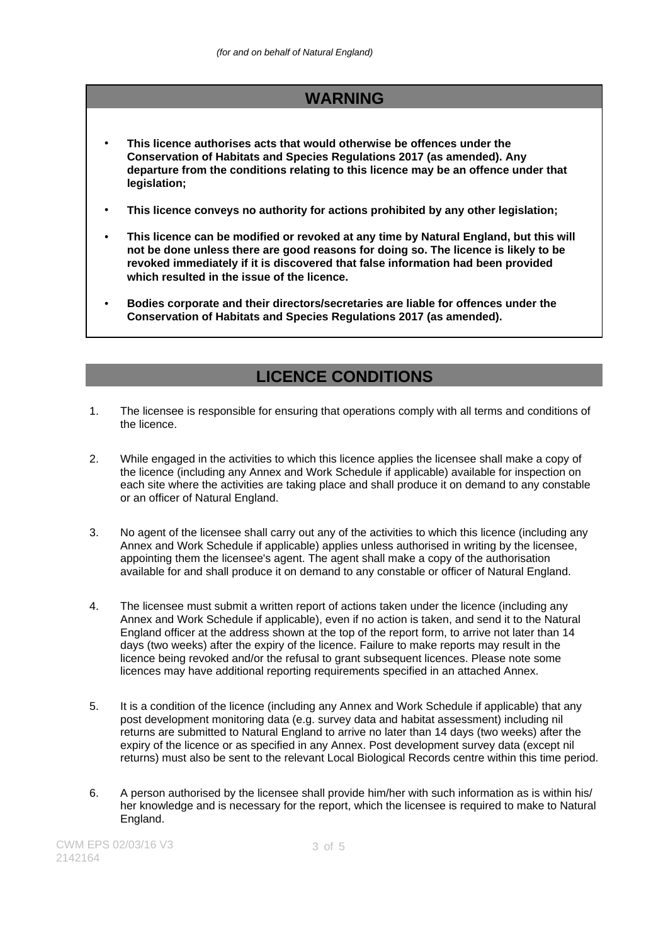# **WARNING**

- **This licence authorises acts that would otherwise be offences under the Conservation of Habitats and Species Regulations 2017 (as amended). Any departure from the conditions relating to this licence may be an offence under that legislation;**
- **This licence conveys no authority for actions prohibited by any other legislation;**
- **This licence can be modified or revoked at any time by Natural England, but this will not be done unless there are good reasons for doing so. The licence is likely to be revoked immediately if it is discovered that false information had been provided which resulted in the issue of the licence.**
- **Bodies corporate and their directors/secretaries are liable for offences under the Conservation of Habitats and Species Regulations 2017 (as amended).**

## **LICENCE CONDITIONS**

- 1. The licensee is responsible for ensuring that operations comply with all terms and conditions of the licence.
- 2. While engaged in the activities to which this licence applies the licensee shall make a copy of the licence (including any Annex and Work Schedule if applicable) available for inspection on each site where the activities are taking place and shall produce it on demand to any constable or an officer of Natural England.
- 3. No agent of the licensee shall carry out any of the activities to which this licence (including any Annex and Work Schedule if applicable) applies unless authorised in writing by the licensee, appointing them the licensee's agent. The agent shall make a copy of the authorisation available for and shall produce it on demand to any constable or officer of Natural England.
- 4. The licensee must submit a written report of actions taken under the licence (including any Annex and Work Schedule if applicable), even if no action is taken, and send it to the Natural England officer at the address shown at the top of the report form, to arrive not later than 14 days (two weeks) after the expiry of the licence. Failure to make reports may result in the licence being revoked and/or the refusal to grant subsequent licences. Please note some licences may have additional reporting requirements specified in an attached Annex.
- 5. It is a condition of the licence (including any Annex and Work Schedule if applicable) that any post development monitoring data (e.g. survey data and habitat assessment) including nil returns are submitted to Natural England to arrive no later than 14 days (two weeks) after the expiry of the licence or as specified in any Annex. Post development survey data (except nil returns) must also be sent to the relevant Local Biological Records centre within this time period.
- 6. A person authorised by the licensee shall provide him/her with such information as is within his/ her knowledge and is necessary for the report, which the licensee is required to make to Natural England.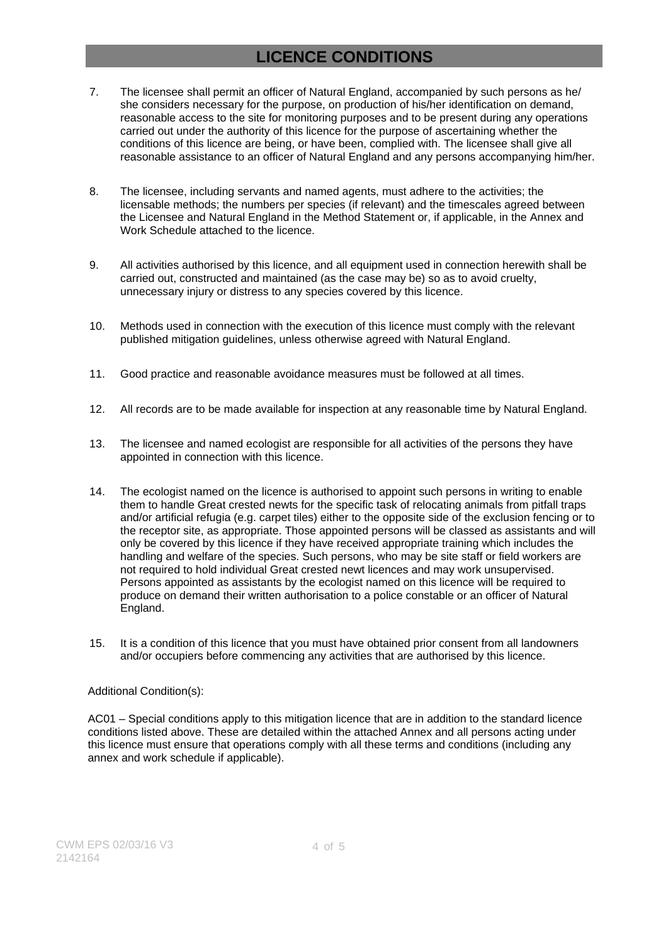# **LICENCE CONDITIONS**

- 7. The licensee shall permit an officer of Natural England, accompanied by such persons as he/ she considers necessary for the purpose, on production of his/her identification on demand, reasonable access to the site for monitoring purposes and to be present during any operations carried out under the authority of this licence for the purpose of ascertaining whether the conditions of this licence are being, or have been, complied with. The licensee shall give all reasonable assistance to an officer of Natural England and any persons accompanying him/her.
- 8. The licensee, including servants and named agents, must adhere to the activities; the licensable methods; the numbers per species (if relevant) and the timescales agreed between the Licensee and Natural England in the Method Statement or, if applicable, in the Annex and Work Schedule attached to the licence.
- 9. All activities authorised by this licence, and all equipment used in connection herewith shall be carried out, constructed and maintained (as the case may be) so as to avoid cruelty, unnecessary injury or distress to any species covered by this licence.
- 10. Methods used in connection with the execution of this licence must comply with the relevant published mitigation guidelines, unless otherwise agreed with Natural England.
- 11. Good practice and reasonable avoidance measures must be followed at all times.
- 12. All records are to be made available for inspection at any reasonable time by Natural England.
- 13. The licensee and named ecologist are responsible for all activities of the persons they have appointed in connection with this licence.
- 14. The ecologist named on the licence is authorised to appoint such persons in writing to enable them to handle Great crested newts for the specific task of relocating animals from pitfall traps and/or artificial refugia (e.g. carpet tiles) either to the opposite side of the exclusion fencing or to the receptor site, as appropriate. Those appointed persons will be classed as assistants and will only be covered by this licence if they have received appropriate training which includes the handling and welfare of the species. Such persons, who may be site staff or field workers are not required to hold individual Great crested newt licences and may work unsupervised. Persons appointed as assistants by the ecologist named on this licence will be required to produce on demand their written authorisation to a police constable or an officer of Natural England.
- 15. It is a condition of this licence that you must have obtained prior consent from all landowners and/or occupiers before commencing any activities that are authorised by this licence.

#### Additional Condition(s):

AC01 – Special conditions apply to this mitigation licence that are in addition to the standard licence conditions listed above. These are detailed within the attached Annex and all persons acting under this licence must ensure that operations comply with all these terms and conditions (including any annex and work schedule if applicable).